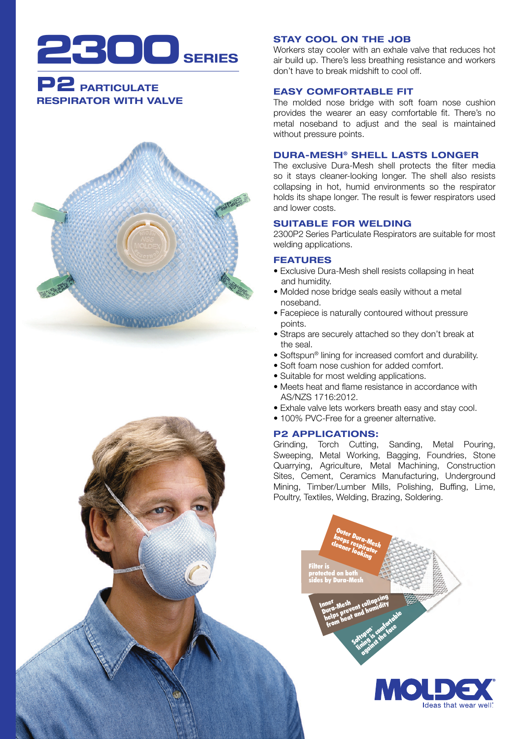

# **P2** PARTICULATE RESPIRATOR WITH VALVE



## STAY COOL ON THE JOB

Workers stay cooler with an exhale valve that reduces hot air build up. There's less breathing resistance and workers don't have to break midshift to cool off.

## EASY COMFORTABLE FIT

The molded nose bridge with soft foam nose cushion provides the wearer an easy comfortable fit. There's no metal noseband to adjust and the seal is maintained without pressure points.

## DURA-MESH® SHELL LASTS LONGER

The exclusive Dura-Mesh shell protects the filter media so it stays cleaner-looking longer. The shell also resists collapsing in hot, humid environments so the respirator holds its shape longer. The result is fewer respirators used and lower costs.

## SUITABLE FOR WELDING

2300P2 Series Particulate Respirators are suitable for most welding applications.

## FEATURES

- Exclusive Dura-Mesh shell resists collapsing in heat and humidity.
- Molded nose bridge seals easily without a metal noseband.
- Facepiece is naturally contoured without pressure points.
- Straps are securely attached so they don't break at the seal.
- Softspun® lining for increased comfort and durability.
- Soft foam nose cushion for added comfort.
- Suitable for most welding applications.
- Meets heat and flame resistance in accordance with AS/NZS 1716:2012.
- Exhale valve lets workers breath easy and stay cool.
- 100% PVC-Free for a greener alternative.

## P2 APPLICATIONS:

Grinding, Torch Cutting, Sanding, Metal Pouring, Sweeping, Metal Working, Bagging, Foundries, Stone Quarrying, Agriculture, Metal Machining, Construction Sites, Cement, Ceramics Manufacturing, Underground Mining, Timber/Lumber Mills, Polishing, Buffing, Lime, Poultry, Textiles, Welding, Brazing, Soldering.